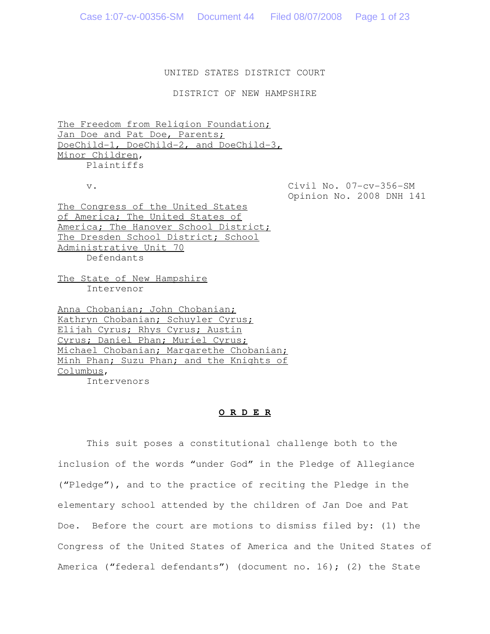# UNITED STATES DISTRICT COURT

DISTRICT OF NEW HAMPSHIRE

The Freedom from Religion Foundation; Jan Doe and Pat Doe, Parents; DoeChild-1, DoeChild-2, and DoeChild-3, Minor Children, Plaintiffs

v. Civil No. 07-cv-356-SM Opinion No. 2008 DNH 141

The Congress of the United States of America; The United States of America; The Hanover School District; The Dresden School District; School Administrative Unit 70 Defendants

The State of New Hampshire Intervenor

Anna Chobanian; John Chobanian; Kathryn Chobanian; Schuyler Cyrus; Elijah Cyrus; Rhys Cyrus; Austin Cyrus; Daniel Phan; Muriel Cyrus; Michael Chobanian; Margarethe Chobanian; Minh Phan; Suzu Phan; and the Knights of Columbus,

Intervenors

## **O R D E R**

This suit poses a constitutional challenge both to the inclusion of the words "under God" in the Pledge of Allegiance ("Pledge"), and to the practice of reciting the Pledge in the elementary school attended by the children of Jan Doe and Pat Doe. Before the court are motions to dismiss filed by: (1) the Congress of the United States of America and the United States of America ("federal defendants") (document no. 16); (2) the State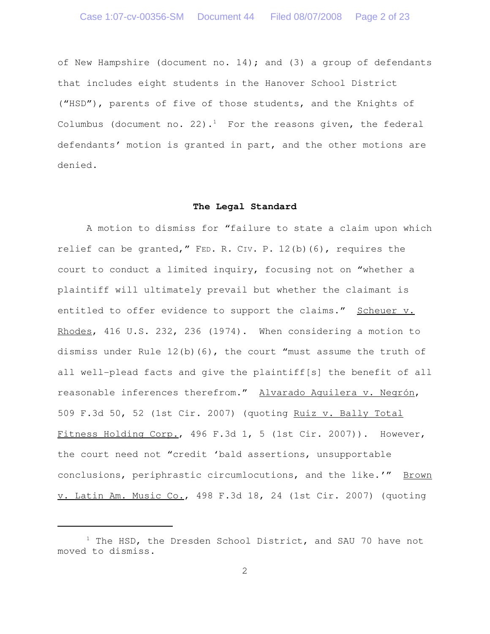of New Hampshire (document no. 14); and (3) a group of defendants that includes eight students in the Hanover School District ("HSD"), parents of five of those students, and the Knights of Columbus (document no. 22).<sup>1</sup> For the reasons given, the federal defendants' motion is granted in part, and the other motions are denied.

# **The Legal Standard**

A motion to dismiss for "failure to state a claim upon which relief can be granted," FED. R. CIV. P. 12(b)(6), requires the court to conduct a limited inquiry, focusing not on "whether a plaintiff will ultimately prevail but whether the claimant is entitled to offer evidence to support the claims." Scheuer v. Rhodes, 416 U.S. 232, 236 (1974). When considering a motion to dismiss under Rule  $12(b)(6)$ , the court "must assume the truth of all well-plead facts and give the plaintiff[s] the benefit of all reasonable inferences therefrom." Alvarado Aguilera v. Negrón, 509 F.3d 50, 52 (1st Cir. 2007) (quoting Ruiz v. Bally Total Fitness Holding Corp., 496 F.3d 1, 5 (1st Cir. 2007)). However, the court need not "credit 'bald assertions, unsupportable conclusions, periphrastic circumlocutions, and the like.'" Brown v. Latin Am. Music Co., 498 F.3d 18, 24 (1st Cir. 2007) (quoting

 $1$  The HSD, the Dresden School District, and SAU 70 have not moved to dismiss.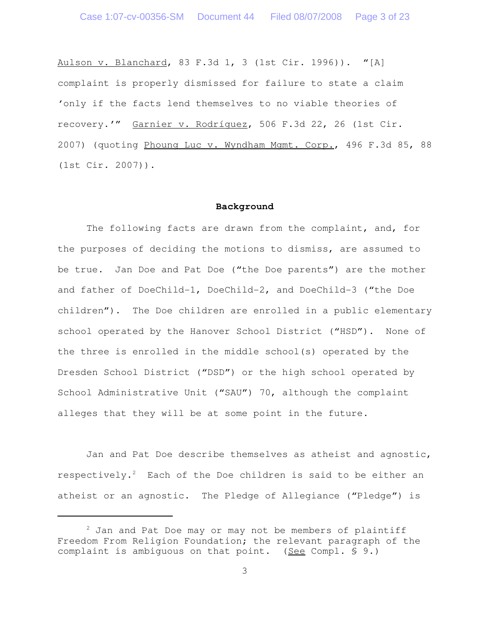Aulson v. Blanchard, 83 F.3d 1, 3 (1st Cir. 1996)). "[A] complaint is properly dismissed for failure to state a claim 'only if the facts lend themselves to no viable theories of recovery.'" Garnier v. Rodríguez, 506 F.3d 22, 26 (1st Cir. 2007) (quoting Phoung Luc v. Wyndham Mgmt. Corp., 496 F.3d 85, 88 (1st Cir. 2007)).

# **Background**

The following facts are drawn from the complaint, and, for the purposes of deciding the motions to dismiss, are assumed to be true. Jan Doe and Pat Doe ("the Doe parents") are the mother and father of DoeChild-1, DoeChild-2, and DoeChild-3 ("the Doe children"). The Doe children are enrolled in a public elementary school operated by the Hanover School District ("HSD"). None of the three is enrolled in the middle school(s) operated by the Dresden School District ("DSD") or the high school operated by School Administrative Unit ("SAU") 70, although the complaint alleges that they will be at some point in the future.

Jan and Pat Doe describe themselves as atheist and agnostic, respectively.<sup>2</sup> Each of the Doe children is said to be either an atheist or an agnostic. The Pledge of Allegiance ("Pledge") is

 $2$  Jan and Pat Doe may or may not be members of plaintiff Freedom From Religion Foundation; the relevant paragraph of the complaint is ambiguous on that point. (See Compl. § 9.)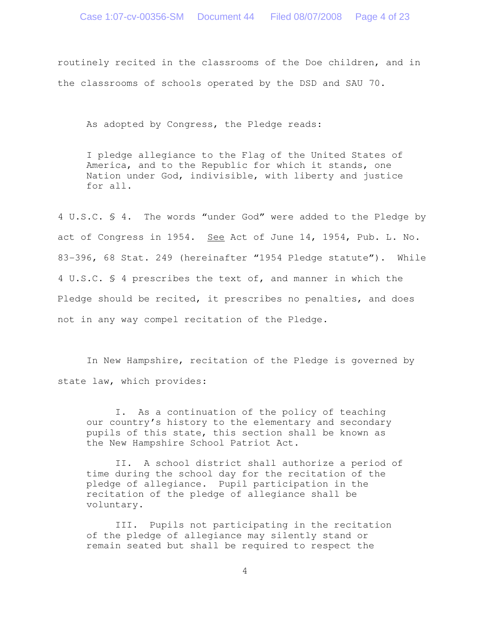routinely recited in the classrooms of the Doe children, and in the classrooms of schools operated by the DSD and SAU 70.

As adopted by Congress, the Pledge reads:

I pledge allegiance to the Flag of the United States of America, and to the Republic for which it stands, one Nation under God, indivisible, with liberty and justice for all.

4 U.S.C. § 4. The words "under God" were added to the Pledge by act of Congress in 1954. See Act of June 14, 1954, Pub. L. No. 83-396, 68 Stat. 249 (hereinafter "1954 Pledge statute"). While 4 U.S.C. § 4 prescribes the text of, and manner in which the Pledge should be recited, it prescribes no penalties, and does not in any way compel recitation of the Pledge.

In New Hampshire, recitation of the Pledge is governed by state law, which provides:

I. As a continuation of the policy of teaching our country's history to the elementary and secondary pupils of this state, this section shall be known as the New Hampshire School Patriot Act.

II. A school district shall authorize a period of time during the school day for the recitation of the pledge of allegiance. Pupil participation in the recitation of the pledge of allegiance shall be voluntary.

III. Pupils not participating in the recitation of the pledge of allegiance may silently stand or remain seated but shall be required to respect the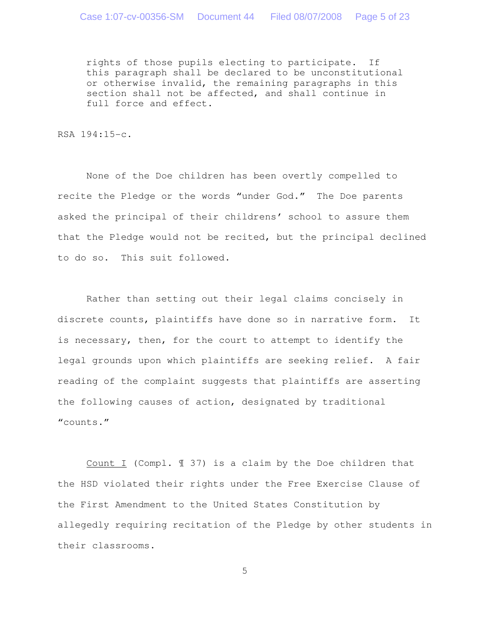rights of those pupils electing to participate. If this paragraph shall be declared to be unconstitutional or otherwise invalid, the remaining paragraphs in this section shall not be affected, and shall continue in full force and effect.

RSA 194:15-c.

None of the Doe children has been overtly compelled to recite the Pledge or the words "under God." The Doe parents asked the principal of their childrens' school to assure them that the Pledge would not be recited, but the principal declined to do so. This suit followed.

Rather than setting out their legal claims concisely in discrete counts, plaintiffs have done so in narrative form. It is necessary, then, for the court to attempt to identify the legal grounds upon which plaintiffs are seeking relief. A fair reading of the complaint suggests that plaintiffs are asserting the following causes of action, designated by traditional "counts."

Count I (Compl. ¶ 37) is a claim by the Doe children that the HSD violated their rights under the Free Exercise Clause of the First Amendment to the United States Constitution by allegedly requiring recitation of the Pledge by other students in their classrooms.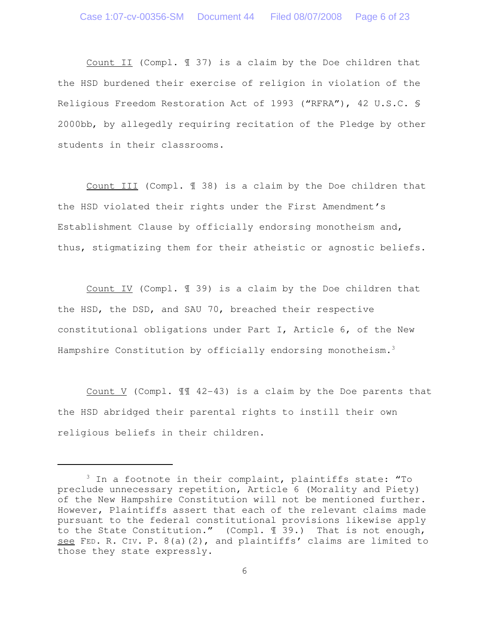Count II (Compl. ¶ 37) is a claim by the Doe children that the HSD burdened their exercise of religion in violation of the Religious Freedom Restoration Act of 1993 ("RFRA"), 42 U.S.C. § 2000bb, by allegedly requiring recitation of the Pledge by other students in their classrooms.

Count III (Compl. ¶ 38) is a claim by the Doe children that the HSD violated their rights under the First Amendment's Establishment Clause by officially endorsing monotheism and, thus, stigmatizing them for their atheistic or agnostic beliefs.

Count IV (Compl. ¶ 39) is a claim by the Doe children that the HSD, the DSD, and SAU 70, breached their respective constitutional obligations under Part I, Article 6, of the New Hampshire Constitution by officially endorsing monotheism.<sup>3</sup>

Count V (Compl. ¶¶ 42-43) is a claim by the Doe parents that the HSD abridged their parental rights to instill their own religious beliefs in their children.

<sup>&</sup>lt;sup>3</sup> In a footnote in their complaint, plaintiffs state: "To preclude unnecessary repetition, Article 6 (Morality and Piety) of the New Hampshire Constitution will not be mentioned further. However, Plaintiffs assert that each of the relevant claims made pursuant to the federal constitutional provisions likewise apply to the State Constitution." (Compl. ¶ 39.) That is not enough, see FED. R. CIV. P. 8(a)(2), and plaintiffs' claims are limited to those they state expressly.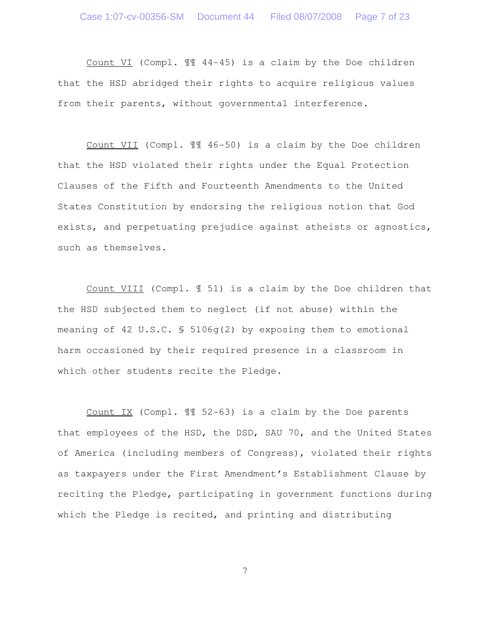Count VI (Compl. ¶¶ 44-45) is a claim by the Doe children that the HSD abridged their rights to acquire religious values from their parents, without governmental interference.

Count VII (Compl. ¶¶ 46-50) is a claim by the Doe children that the HSD violated their rights under the Equal Protection Clauses of the Fifth and Fourteenth Amendments to the United States Constitution by endorsing the religious notion that God exists, and perpetuating prejudice against atheists or agnostics, such as themselves.

Count VIII (Compl. ¶ 51) is a claim by the Doe children that the HSD subjected them to neglect (if not abuse) within the meaning of 42 U.S.C. § 5106g(2) by exposing them to emotional harm occasioned by their required presence in a classroom in which other students recite the Pledge.

Count IX (Compl. ¶¶ 52-63) is a claim by the Doe parents that employees of the HSD, the DSD, SAU 70, and the United States of America (including members of Congress), violated their rights as taxpayers under the First Amendment's Establishment Clause by reciting the Pledge, participating in government functions during which the Pledge is recited, and printing and distributing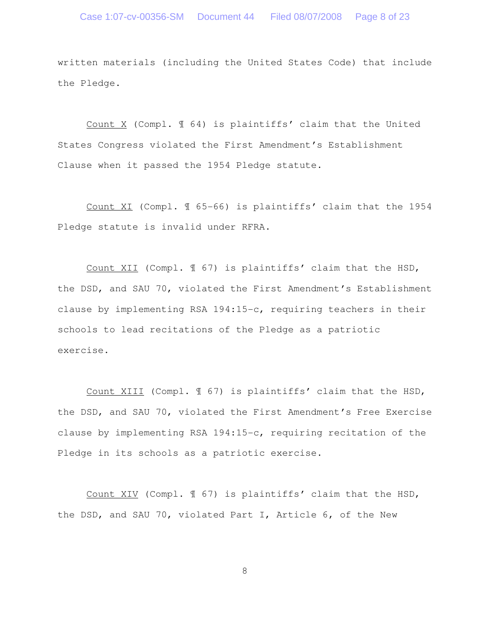written materials (including the United States Code) that include the Pledge.

Count X (Compl. ¶ 64) is plaintiffs' claim that the United States Congress violated the First Amendment's Establishment Clause when it passed the 1954 Pledge statute.

Count XI (Compl. ¶ 65-66) is plaintiffs' claim that the 1954 Pledge statute is invalid under RFRA.

Count XII (Compl. ¶ 67) is plaintiffs' claim that the HSD, the DSD, and SAU 70, violated the First Amendment's Establishment clause by implementing RSA 194:15-c, requiring teachers in their schools to lead recitations of the Pledge as a patriotic exercise.

Count XIII (Compl. ¶ 67) is plaintiffs' claim that the HSD, the DSD, and SAU 70, violated the First Amendment's Free Exercise clause by implementing RSA 194:15-c, requiring recitation of the Pledge in its schools as a patriotic exercise.

Count XIV (Compl. ¶ 67) is plaintiffs' claim that the HSD, the DSD, and SAU 70, violated Part I, Article 6, of the New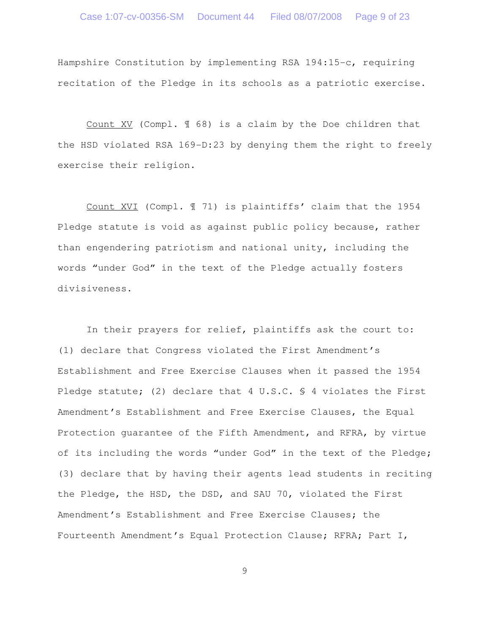Hampshire Constitution by implementing RSA 194:15-c, requiring recitation of the Pledge in its schools as a patriotic exercise.

Count XV (Compl. ¶ 68) is a claim by the Doe children that the HSD violated RSA 169-D:23 by denying them the right to freely exercise their religion.

Count XVI (Compl. ¶ 71) is plaintiffs' claim that the 1954 Pledge statute is void as against public policy because, rather than engendering patriotism and national unity, including the words "under God" in the text of the Pledge actually fosters divisiveness.

In their prayers for relief, plaintiffs ask the court to: (1) declare that Congress violated the First Amendment's Establishment and Free Exercise Clauses when it passed the 1954 Pledge statute; (2) declare that 4 U.S.C. § 4 violates the First Amendment's Establishment and Free Exercise Clauses, the Equal Protection guarantee of the Fifth Amendment, and RFRA, by virtue of its including the words "under God" in the text of the Pledge; (3) declare that by having their agents lead students in reciting the Pledge, the HSD, the DSD, and SAU 70, violated the First Amendment's Establishment and Free Exercise Clauses; the Fourteenth Amendment's Equal Protection Clause; RFRA; Part I,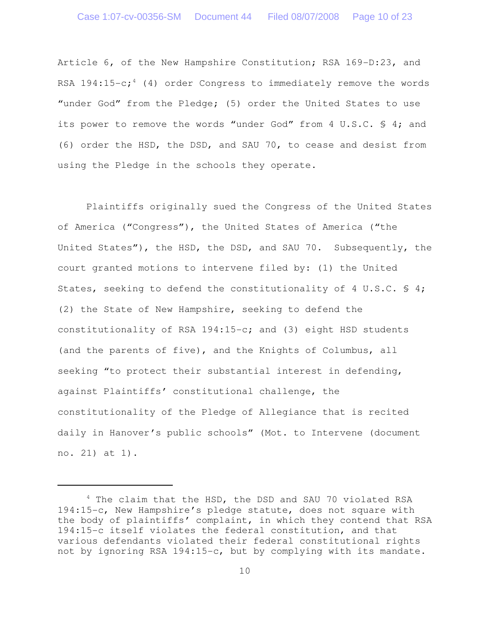Article 6, of the New Hampshire Constitution; RSA 169-D:23, and RSA  $194:15-c$ ;<sup>4</sup> (4) order Congress to immediately remove the words "under God" from the Pledge; (5) order the United States to use its power to remove the words "under God" from 4 U.S.C. § 4; and (6) order the HSD, the DSD, and SAU 70, to cease and desist from using the Pledge in the schools they operate.

Plaintiffs originally sued the Congress of the United States of America ("Congress"), the United States of America ("the United States"), the HSD, the DSD, and SAU 70. Subsequently, the court granted motions to intervene filed by: (1) the United States, seeking to defend the constitutionality of 4 U.S.C.  $\frac{1}{2}$  4; (2) the State of New Hampshire, seeking to defend the constitutionality of RSA 194:15-c; and (3) eight HSD students (and the parents of five), and the Knights of Columbus, all seeking "to protect their substantial interest in defending, against Plaintiffs' constitutional challenge, the constitutionality of the Pledge of Allegiance that is recited daily in Hanover's public schools" (Mot. to Intervene (document no. 21) at 1).

<sup>&</sup>lt;sup>4</sup> The claim that the HSD, the DSD and SAU 70 violated RSA 194:15-c, New Hampshire's pledge statute, does not square with the body of plaintiffs' complaint, in which they contend that RSA 194:15-c itself violates the federal constitution, and that various defendants violated their federal constitutional rights not by ignoring RSA 194:15-c, but by complying with its mandate.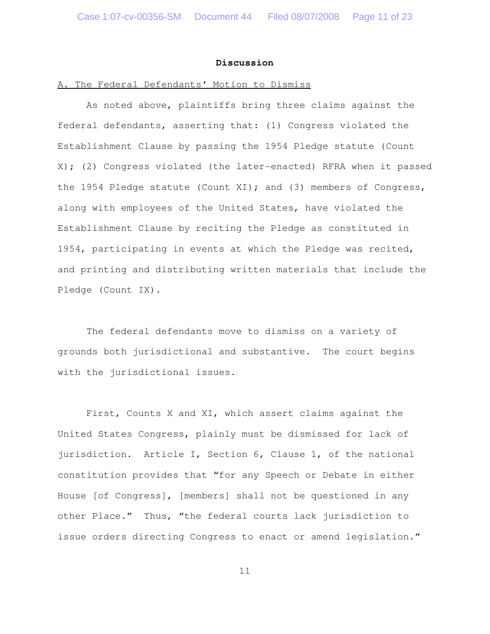#### **Discussion**

### A. The Federal Defendants' Motion to Dismiss

As noted above, plaintiffs bring three claims against the federal defendants, asserting that: (1) Congress violated the Establishment Clause by passing the 1954 Pledge statute (Count X); (2) Congress violated (the later-enacted) RFRA when it passed the 1954 Pledge statute (Count XI); and (3) members of Congress, along with employees of the United States, have violated the Establishment Clause by reciting the Pledge as constituted in 1954, participating in events at which the Pledge was recited, and printing and distributing written materials that include the Pledge (Count IX).

The federal defendants move to dismiss on a variety of grounds both jurisdictional and substantive. The court begins with the jurisdictional issues.

First, Counts X and XI, which assert claims against the United States Congress, plainly must be dismissed for lack of jurisdiction. Article I, Section 6, Clause 1, of the national constitution provides that "for any Speech or Debate in either House [of Congress], [members] shall not be questioned in any other Place." Thus, "the federal courts lack jurisdiction to issue orders directing Congress to enact or amend legislation."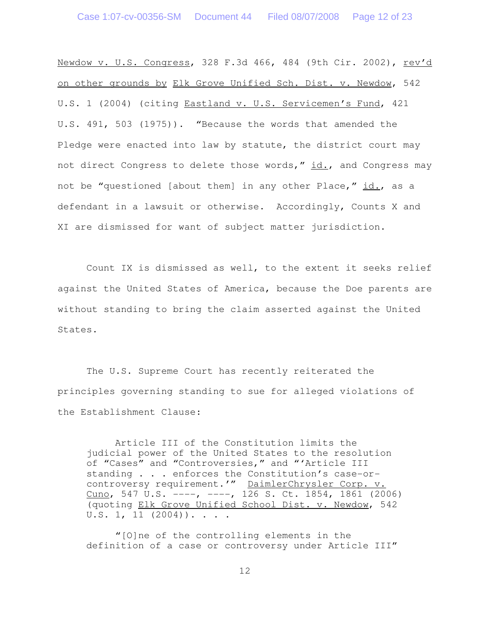Newdow v. U.S. Congress, 328 F.3d 466, 484 (9th Cir. 2002), rev'd on other grounds by Elk Grove Unified Sch. Dist. v. Newdow, 542 U.S. 1 (2004) (citing Eastland v. U.S. Servicemen's Fund, 421 U.S. 491, 503 (1975)). "Because the words that amended the Pledge were enacted into law by statute, the district court may not direct Congress to delete those words," id., and Congress may not be "questioned [about them] in any other Place," id., as a defendant in a lawsuit or otherwise. Accordingly, Counts X and XI are dismissed for want of subject matter jurisdiction.

Count IX is dismissed as well, to the extent it seeks relief against the United States of America, because the Doe parents are without standing to bring the claim asserted against the United States.

The U.S. Supreme Court has recently reiterated the principles governing standing to sue for alleged violations of the Establishment Clause:

Article III of the Constitution limits the judicial power of the United States to the resolution of "Cases" and "Controversies," and "'Article III standing . . . enforces the Constitution's case-orcontroversy requirement.'" DaimlerChrysler Corp. v. Cuno, 547 U.S.  $---$ ,  $---$ , 126 S. Ct. 1854, 1861 (2006) (quoting Elk Grove Unified School Dist. v. Newdow, 542  $U.S. 1, 11 (2004))$ . . . .

"[O]ne of the controlling elements in the definition of a case or controversy under Article III"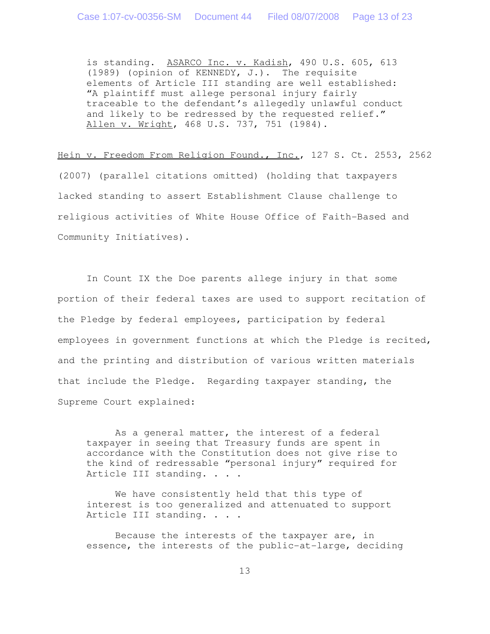is standing. ASARCO Inc. v. Kadish, 490 U.S. 605, 613 (1989) (opinion of KENNEDY, J.). The requisite elements of Article III standing are well established: "A plaintiff must allege personal injury fairly traceable to the defendant's allegedly unlawful conduct and likely to be redressed by the requested relief." Allen v. Wright, 468 U.S. 737, 751 (1984).

Hein v. Freedom From Religion Found., Inc., 127 S. Ct. 2553, 2562 (2007) (parallel citations omitted) (holding that taxpayers lacked standing to assert Establishment Clause challenge to religious activities of White House Office of Faith-Based and Community Initiatives).

In Count IX the Doe parents allege injury in that some portion of their federal taxes are used to support recitation of the Pledge by federal employees, participation by federal employees in government functions at which the Pledge is recited, and the printing and distribution of various written materials that include the Pledge. Regarding taxpayer standing, the Supreme Court explained:

As a general matter, the interest of a federal taxpayer in seeing that Treasury funds are spent in accordance with the Constitution does not give rise to the kind of redressable "personal injury" required for Article III standing. . . .

We have consistently held that this type of interest is too generalized and attenuated to support Article III standing. . . .

Because the interests of the taxpayer are, in essence, the interests of the public-at-large, deciding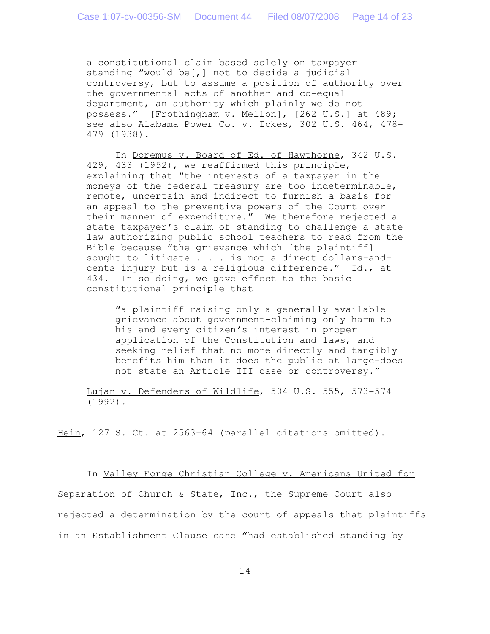a constitutional claim based solely on taxpayer standing "would be[,] not to decide a judicial controversy, but to assume a position of authority over the governmental acts of another and co-equal department, an authority which plainly we do not possess." [Frothingham v. Mellon], [262 U.S.] at 489; see also Alabama Power Co. v. Ickes, 302 U.S. 464, 478- 479 (1938).

In Doremus v. Board of Ed. of Hawthorne, 342 U.S. 429, 433 (1952), we reaffirmed this principle, explaining that "the interests of a taxpayer in the moneys of the federal treasury are too indeterminable, remote, uncertain and indirect to furnish a basis for an appeal to the preventive powers of the Court over their manner of expenditure." We therefore rejected a state taxpayer's claim of standing to challenge a state law authorizing public school teachers to read from the Bible because "the grievance which [the plaintiff] sought to litigate . . . is not a direct dollars-andcents injury but is a religious difference." Id., at 434. In so doing, we gave effect to the basic constitutional principle that

"a plaintiff raising only a generally available grievance about government–claiming only harm to his and every citizen's interest in proper application of the Constitution and laws, and seeking relief that no more directly and tangibly benefits him than it does the public at large-does not state an Article III case or controversy."

Lujan v. Defenders of Wildlife, 504 U.S. 555, 573-574 (1992).

Hein, 127 S. Ct. at 2563-64 (parallel citations omitted).

In Valley Forge Christian College v. Americans United for Separation of Church & State, Inc., the Supreme Court also rejected a determination by the court of appeals that plaintiffs in an Establishment Clause case "had established standing by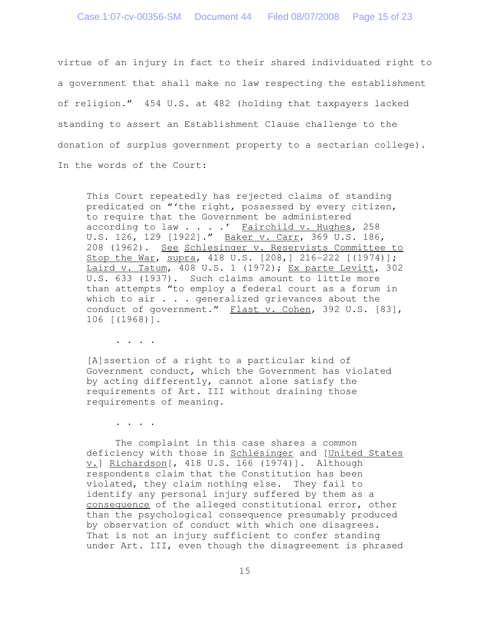virtue of an injury in fact to their shared individuated right to a government that shall make no law respecting the establishment of religion." 454 U.S. at 482 (holding that taxpayers lacked standing to assert an Establishment Clause challenge to the donation of surplus government property to a sectarian college). In the words of the Court:

This Court repeatedly has rejected claims of standing predicated on "'the right, possessed by every citizen, to require that the Government be administered according to law  $\ldots$  . . Tairchild v. Hughes, 258 U.S. 126, 129 [1922]." Baker v. Carr, 369 U.S. 186, 208 (1962). See Schlesinger v. Reservists Committee to Stop the War, supra, 418 U.S. [208,] 216-222 [(1974)]; Laird v. Tatum, 408 U.S. 1 (1972); Ex parte Levitt, 302 U.S. 633 (1937). Such claims amount to little more than attempts "to employ a federal court as a forum in which to air . . . generalized grievances about the conduct of government." Flast v. Cohen, 392 U.S. [83], 106 [(1968)].

. . . .

[A]ssertion of a right to a particular kind of Government conduct, which the Government has violated by acting differently, cannot alone satisfy the requirements of Art. III without draining those requirements of meaning.

. . . .

The complaint in this case shares a common deficiency with those in Schlesinger and [United States v.] Richardson[, 418 U.S. 166 (1974)]. Although respondents claim that the Constitution has been violated, they claim nothing else. They fail to identify any personal injury suffered by them as a consequence of the alleged constitutional error, other than the psychological consequence presumably produced by observation of conduct with which one disagrees. That is not an injury sufficient to confer standing under Art. III, even though the disagreement is phrased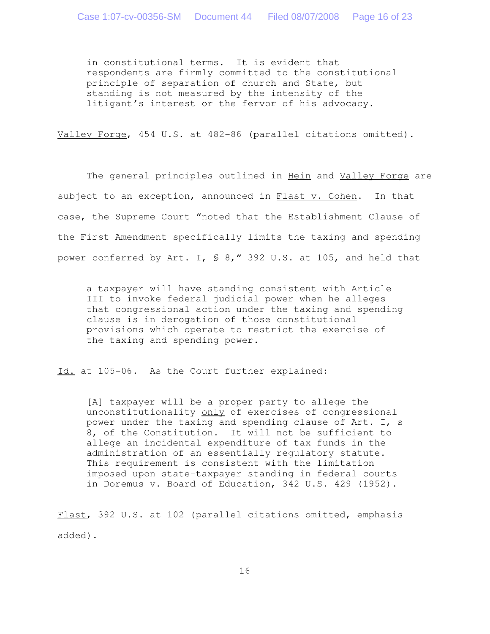in constitutional terms. It is evident that respondents are firmly committed to the constitutional principle of separation of church and State, but standing is not measured by the intensity of the litigant's interest or the fervor of his advocacy.

Valley Forge, 454 U.S. at 482-86 (parallel citations omitted).

The general principles outlined in Hein and Valley Forge are subject to an exception, announced in Flast v. Cohen. In that case, the Supreme Court "noted that the Establishment Clause of the First Amendment specifically limits the taxing and spending power conferred by Art. I, § 8," 392 U.S. at 105, and held that

a taxpayer will have standing consistent with Article III to invoke federal judicial power when he alleges that congressional action under the taxing and spending clause is in derogation of those constitutional provisions which operate to restrict the exercise of the taxing and spending power.

Id. at 105-06. As the Court further explained:

[A] taxpayer will be a proper party to allege the unconstitutionality only of exercises of congressional power under the taxing and spending clause of Art. I, s 8, of the Constitution. It will not be sufficient to allege an incidental expenditure of tax funds in the administration of an essentially regulatory statute. This requirement is consistent with the limitation imposed upon state-taxpayer standing in federal courts in Doremus v. Board of Education, 342 U.S. 429 (1952).

Flast, 392 U.S. at 102 (parallel citations omitted, emphasis added).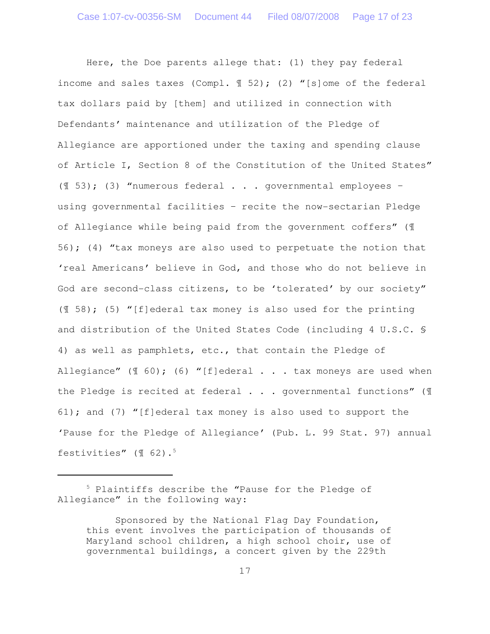Here, the Doe parents allege that: (1) they pay federal income and sales taxes (Compl.  $\mathcal{F}$  52); (2) "[s]ome of the federal tax dollars paid by [them] and utilized in connection with Defendants' maintenance and utilization of the Pledge of Allegiance are apportioned under the taxing and spending clause of Article I, Section 8 of the Constitution of the United States" ( $\llbracket$  53); (3) "numerous federal  $\ldots$  eqovernmental employees using governmental facilities – recite the now-sectarian Pledge of Allegiance while being paid from the government coffers" (¶ 56); (4) "tax moneys are also used to perpetuate the notion that 'real Americans' believe in God, and those who do not believe in God are second-class citizens, to be 'tolerated' by our society" ( $\llbracket$  58); (5) "[f]ederal tax money is also used for the printing and distribution of the United States Code (including 4 U.S.C. § 4) as well as pamphlets, etc., that contain the Pledge of Allegiance"  $(\text{\texttt{I}}\;60)$ ; (6) "[f]ederal . . . tax moneys are used when the Pledge is recited at federal . . . governmental functions" (¶ 61); and (7) "[f]ederal tax money is also used to support the 'Pause for the Pledge of Allegiance' (Pub. L. 99 Stat. 97) annual festivities" (¶ 62).<sup>5</sup>

<sup>5</sup> Plaintiffs describe the "Pause for the Pledge of Allegiance" in the following way:

Sponsored by the National Flag Day Foundation, this event involves the participation of thousands of Maryland school children, a high school choir, use of governmental buildings, a concert given by the 229th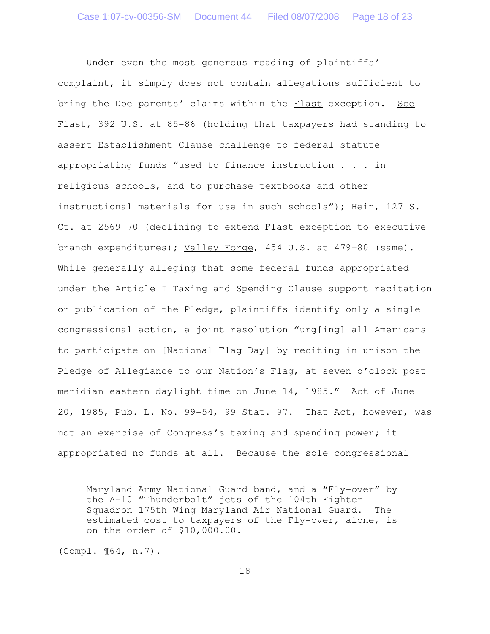Under even the most generous reading of plaintiffs' complaint, it simply does not contain allegations sufficient to bring the Doe parents' claims within the Flast exception. See Flast, 392 U.S. at 85-86 (holding that taxpayers had standing to assert Establishment Clause challenge to federal statute appropriating funds "used to finance instruction . . . in religious schools, and to purchase textbooks and other instructional materials for use in such schools"); Hein, 127 S. Ct. at 2569-70 (declining to extend Flast exception to executive branch expenditures); Valley Forge, 454 U.S. at 479-80 (same). While generally alleging that some federal funds appropriated under the Article I Taxing and Spending Clause support recitation or publication of the Pledge, plaintiffs identify only a single congressional action, a joint resolution "urg[ing] all Americans to participate on [National Flag Day] by reciting in unison the Pledge of Allegiance to our Nation's Flag, at seven o'clock post meridian eastern daylight time on June 14, 1985." Act of June 20, 1985, Pub. L. No. 99-54, 99 Stat. 97. That Act, however, was not an exercise of Congress's taxing and spending power; it appropriated no funds at all. Because the sole congressional

(Compl. ¶64, n.7).

Maryland Army National Guard band, and a "Fly-over" by the A-10 "Thunderbolt" jets of the 104th Fighter Squadron 175th Wing Maryland Air National Guard. The estimated cost to taxpayers of the Fly-over, alone, is on the order of \$10,000.00.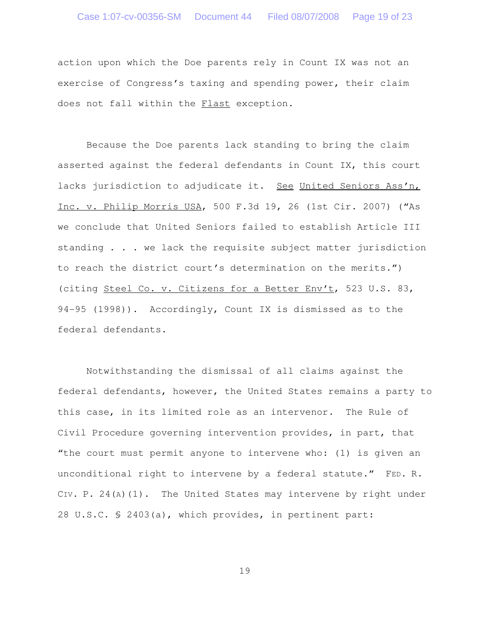action upon which the Doe parents rely in Count IX was not an exercise of Congress's taxing and spending power, their claim does not fall within the Flast exception.

Because the Doe parents lack standing to bring the claim asserted against the federal defendants in Count IX, this court lacks jurisdiction to adjudicate it. See United Seniors Ass'n, Inc. v. Philip Morris USA, 500 F.3d 19, 26 (1st Cir. 2007) ("As we conclude that United Seniors failed to establish Article III standing . . . we lack the requisite subject matter jurisdiction to reach the district court's determination on the merits.") (citing Steel Co. v. Citizens for a Better Env't, 523 U.S. 83, 94-95 (1998)). Accordingly, Count IX is dismissed as to the federal defendants.

Notwithstanding the dismissal of all claims against the federal defendants, however, the United States remains a party to this case, in its limited role as an intervenor. The Rule of Civil Procedure governing intervention provides, in part, that "the court must permit anyone to intervene who: (1) is given an unconditional right to intervene by a federal statute." FED. R. CIV. P. 24(A)(1). The United States may intervene by right under 28 U.S.C. § 2403(a), which provides, in pertinent part: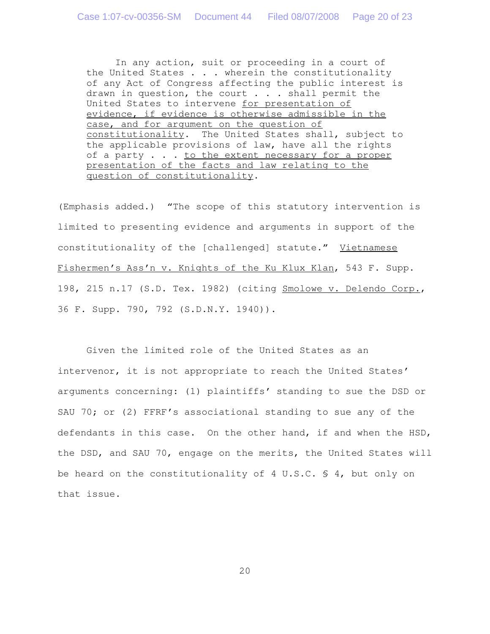In any action, suit or proceeding in a court of the United States  $\ldots$  . wherein the constitutionality of any Act of Congress affecting the public interest is drawn in question, the court . . . shall permit the United States to intervene for presentation of evidence, if evidence is otherwise admissible in the case, and for argument on the question of constitutionality. The United States shall, subject to the applicable provisions of law, have all the rights of a party . . . to the extent necessary for a proper presentation of the facts and law relating to the question of constitutionality.

(Emphasis added.) "The scope of this statutory intervention is limited to presenting evidence and arguments in support of the constitutionality of the [challenged] statute." Vietnamese Fishermen's Ass'n v. Knights of the Ku Klux Klan, 543 F. Supp. 198, 215 n.17 (S.D. Tex. 1982) (citing Smolowe v. Delendo Corp., 36 F. Supp. 790, 792 (S.D.N.Y. 1940)).

Given the limited role of the United States as an intervenor, it is not appropriate to reach the United States' arguments concerning: (1) plaintiffs' standing to sue the DSD or SAU 70; or (2) FFRF's associational standing to sue any of the defendants in this case. On the other hand, if and when the HSD, the DSD, and SAU 70, engage on the merits, the United States will be heard on the constitutionality of 4 U.S.C.  $\Diamond$  4, but only on that issue.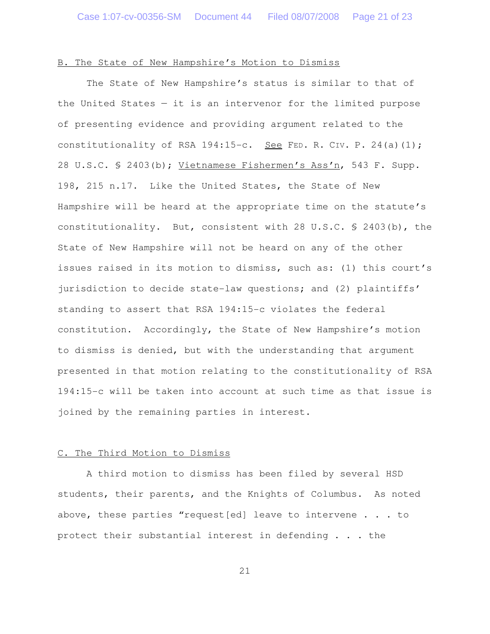# B. The State of New Hampshire's Motion to Dismiss

The State of New Hampshire's status is similar to that of the United States  $-$  it is an intervenor for the limited purpose of presenting evidence and providing argument related to the constitutionality of RSA 194:15-c. See FED. R. CIV. P. 24(a)(1); 28 U.S.C. § 2403(b); Vietnamese Fishermen's Ass'n, 543 F. Supp. 198, 215 n.17. Like the United States, the State of New Hampshire will be heard at the appropriate time on the statute's constitutionality. But, consistent with 28 U.S.C. § 2403(b), the State of New Hampshire will not be heard on any of the other issues raised in its motion to dismiss, such as: (1) this court's jurisdiction to decide state-law questions; and (2) plaintiffs' standing to assert that RSA 194:15-c violates the federal constitution. Accordingly, the State of New Hampshire's motion to dismiss is denied, but with the understanding that argument presented in that motion relating to the constitutionality of RSA 194:15-c will be taken into account at such time as that issue is joined by the remaining parties in interest.

# C. The Third Motion to Dismiss

A third motion to dismiss has been filed by several HSD students, their parents, and the Knights of Columbus. As noted above, these parties "request[ed] leave to intervene . . . to protect their substantial interest in defending . . . the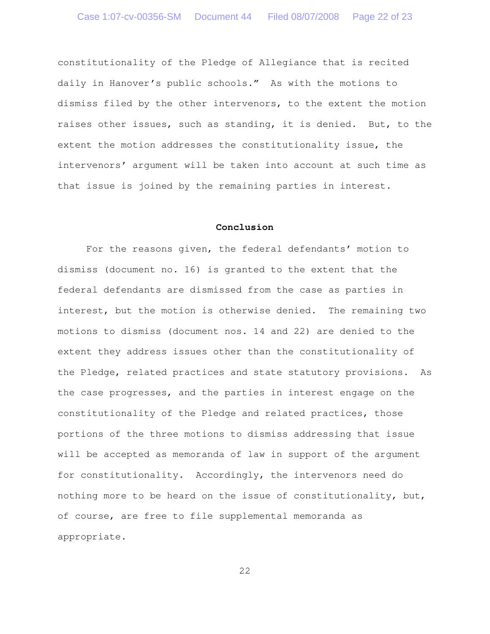constitutionality of the Pledge of Allegiance that is recited daily in Hanover's public schools." As with the motions to dismiss filed by the other intervenors, to the extent the motion raises other issues, such as standing, it is denied. But, to the extent the motion addresses the constitutionality issue, the intervenors' argument will be taken into account at such time as that issue is joined by the remaining parties in interest.

### **Conclusion**

For the reasons given, the federal defendants' motion to dismiss (document no. 16) is granted to the extent that the federal defendants are dismissed from the case as parties in interest, but the motion is otherwise denied. The remaining two motions to dismiss (document nos. 14 and 22) are denied to the extent they address issues other than the constitutionality of the Pledge, related practices and state statutory provisions. As the case progresses, and the parties in interest engage on the constitutionality of the Pledge and related practices, those portions of the three motions to dismiss addressing that issue will be accepted as memoranda of law in support of the argument for constitutionality. Accordingly, the intervenors need do nothing more to be heard on the issue of constitutionality, but, of course, are free to file supplemental memoranda as appropriate.